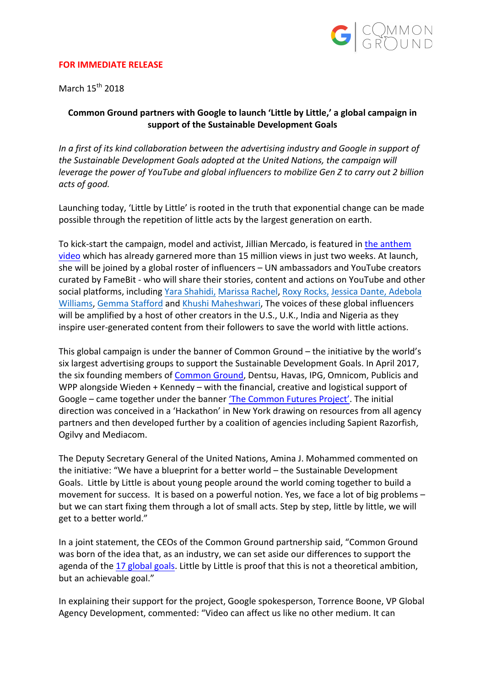

#### **FOR IMMEDIATE RELEASE**

March  $15^{th}$  2018

# Common Ground partners with Google to launch 'Little by Little,' a global campaign in support of the Sustainable Development Goals

In a first of its kind collaboration between the advertising industry and Google in support of *the Sustainable Development Goals adopted at the United Nations, the campaign will leverage the power of YouTube and global influencers to mobilize Gen Z to carry out 2 billion acts of good.*

Launching today, 'Little by Little' is rooted in the truth that exponential change can be made possible through the repetition of little acts by the largest generation on earth.

To kick-start the campaign, model and activist, Jillian Mercado, is featured in the anthem video which has already garnered more than 15 million views in just two weeks. At launch, she will be joined by a global roster of influencers  $-$  UN ambassadors and YouTube creators curated by FameBit - who will share their stories, content and actions on YouTube and other social platforms, including Yara Shahidi, Marissa Rachel, Roxy Rocks, Jessica Dante, Adebola Williams, Gemma Stafford and Khushi Maheshwari, The voices of these global influencers will be amplified by a host of other creators in the U.S., U.K., India and Nigeria as they inspire user-generated content from their followers to save the world with little actions.

This global campaign is under the banner of Common Ground  $-$  the initiative by the world's six largest advertising groups to support the Sustainable Development Goals. In April 2017, the six founding members of Common Ground, Dentsu, Havas, IPG, Omnicom, Publicis and WPP alongside Wieden  $+$  Kennedy – with the financial, creative and logistical support of Google – came together under the banner 'The Common Futures Project'. The initial direction was conceived in a 'Hackathon' in New York drawing on resources from all agency partners and then developed further by a coalition of agencies including Sapient Razorfish, Ogilvy and Mediacom.

The Deputy Secretary General of the United Nations, Amina J. Mohammed commented on the initiative: "We have a blueprint for a better world - the Sustainable Development Goals. Little by Little is about young people around the world coming together to build a movement for success. It is based on a powerful notion. Yes, we face a lot of big problems  $$ but we can start fixing them through a lot of small acts. Step by step, little by little, we will get to a better world."

In a joint statement, the CEOs of the Common Ground partnership said, "Common Ground was born of the idea that, as an industry, we can set aside our differences to support the agenda of the 17 global goals. Little by Little is proof that this is not a theoretical ambition, but an achievable goal."

In explaining their support for the project, Google spokesperson, Torrence Boone, VP Global Agency Development, commented: "Video can affect us like no other medium. It can